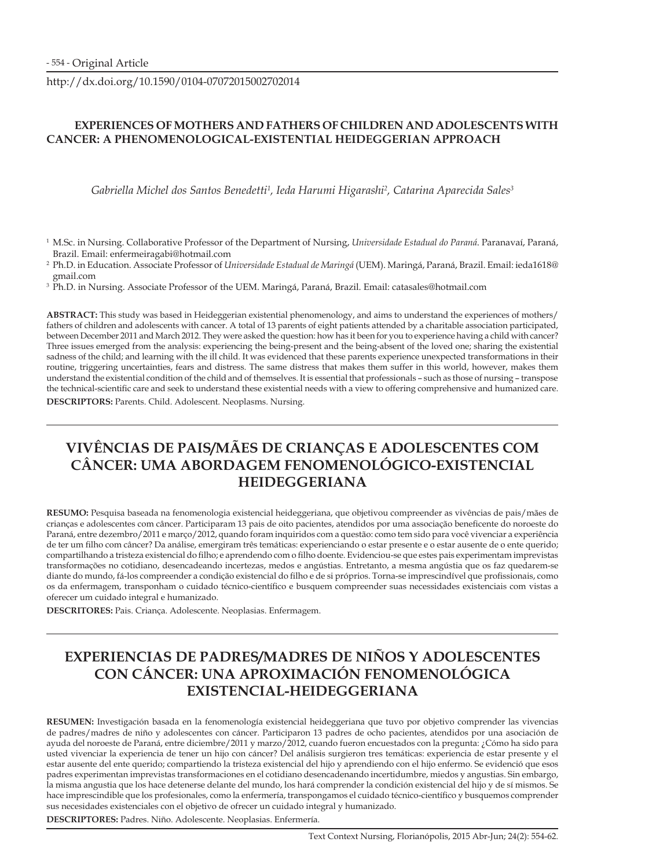http://dx.doi.org/10.1590/0104-07072015002702014

### **EXPERIENCES OF MOTHERS AND FATHERS OF CHILDREN AND ADOLESCENTS WITH CANCER: A PHENOMENOLOGICAL-EXISTENTIAL HEIDEGGERIAN APPROACH**

*Gabriella Michel dos Santos Benedetti1 , Ieda Harumi Higarashi2 , Catarina Aparecida Sales3*

<sup>1</sup> M.Sc. in Nursing. Collaborative Professor of the Department of Nursing, *Universidade Estadual do Paraná*. Paranavaí, Paraná, Brazil. Email: enfermeiragabi@hotmail.com

<sup>2</sup> Ph.D. in Education. Associate Professor of *Universidade Estadual de Maringá* (UEM). Maringá, Paraná, Brazil. Email: ieda1618@ gmail.com

<sup>3</sup> Ph.D. in Nursing. Associate Professor of the UEM. Maringá, Paraná, Brazil. Email: catasales@hotmail.com

**ABSTRACT:** This study was based in Heideggerian existential phenomenology, and aims to understand the experiences of mothers/ fathers of children and adolescents with cancer. A total of 13 parents of eight patients attended by a charitable association participated, between December 2011 and March 2012. They were asked the question: how has it been for you to experience having a child with cancer? Three issues emerged from the analysis: experiencing the being-present and the being-absent of the loved one; sharing the existential sadness of the child; and learning with the ill child. It was evidenced that these parents experience unexpected transformations in their routine, triggering uncertainties, fears and distress. The same distress that makes them suffer in this world, however, makes them understand the existential condition of the child and of themselves. It is essential that professionals – such as those of nursing – transpose the technical-scientific care and seek to understand these existential needs with a view to offering comprehensive and humanized care.

**DESCRIPTORS:** Parents. Child. Adolescent. Neoplasms. Nursing.

# **VIVÊNCIAS DE PAIS/MÃES DE CRIANÇAS E ADOLESCENTES COM CÂNCER: UMA ABORDAGEM FENOMENOLÓGICO-EXISTENCIAL HEIDEGGERIANA**

**RESUMO:** Pesquisa baseada na fenomenologia existencial heideggeriana, que objetivou compreender as vivências de pais/mães de crianças e adolescentes com câncer. Participaram 13 pais de oito pacientes, atendidos por uma associação beneficente do noroeste do Paraná, entre dezembro/2011 e março/2012, quando foram inquiridos com a questão: como tem sido para você vivenciar a experiência de ter um filho com câncer? Da análise, emergiram três temáticas: experienciando o estar presente e o estar ausente de o ente querido; compartilhando a tristeza existencial do filho; e aprendendo com o filho doente. Evidenciou-se que estes pais experimentam imprevistas transformações no cotidiano, desencadeando incertezas, medos e angústias. Entretanto, a mesma angústia que os faz quedarem-se diante do mundo, fá-los compreender a condição existencial do filho e de si próprios. Torna-se imprescindível que profissionais, como os da enfermagem, transponham o cuidado técnico-científico e busquem compreender suas necessidades existenciais com vistas a oferecer um cuidado integral e humanizado.

**DESCRITORES:** Pais. Criança. Adolescente. Neoplasias. Enfermagem.

# **EXPERIENCIAS DE PADRES/MADRES DE NIÑOS Y ADOLESCENTES CON CÁNCER: UNA APROXIMACIÓN FENOMENOLÓGICA EXISTENCIAL-HEIDEGGERIANA**

**RESUMEN:** Investigación basada en la fenomenología existencial heideggeriana que tuvo por objetivo comprender las vivencias de padres/madres de niño y adolescentes con cáncer. Participaron 13 padres de ocho pacientes, atendidos por una asociación de ayuda del noroeste de Paraná, entre diciembre/2011 y marzo/2012, cuando fueron encuestados con la pregunta: ¿Cómo ha sido para usted vivenciar la experiencia de tener un hijo con cáncer? Del análisis surgieron tres temáticas: experiencia de estar presente y el estar ausente del ente querido; compartiendo la tristeza existencial del hijo y aprendiendo con el hijo enfermo. Se evidenció que esos padres experimentan imprevistas transformaciones en el cotidiano desencadenando incertidumbre, miedos y angustias. Sin embargo, la misma angustia que los hace detenerse delante del mundo, los hará comprender la condición existencial del hijo y de sí mismos. Se hace imprescindible que los profesionales, como la enfermería, transpongamos el cuidado técnico-científico y busquemos comprender sus necesidades existenciales con el objetivo de ofrecer un cuidado integral y humanizado.

**DESCRIPTORES:** Padres. Niño. Adolescente. Neoplasias. Enfermería.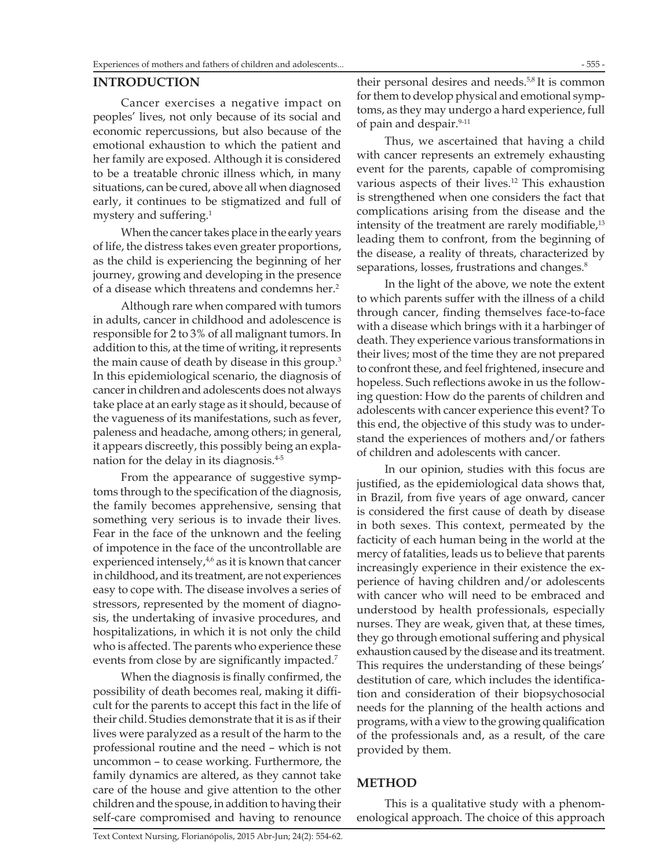#### **INTRODUCTION**

Cancer exercises a negative impact on peoples' lives, not only because of its social and economic repercussions, but also because of the emotional exhaustion to which the patient and her family are exposed. Although it is considered to be a treatable chronic illness which, in many situations, can be cured, above all when diagnosed early, it continues to be stigmatized and full of mystery and suffering.<sup>1</sup>

When the cancer takes place in the early years of life, the distress takes even greater proportions, as the child is experiencing the beginning of her journey, growing and developing in the presence of a disease which threatens and condemns her.<sup>2</sup>

Although rare when compared with tumors in adults, cancer in childhood and adolescence is responsible for 2 to 3% of all malignant tumors. In addition to this, at the time of writing, it represents the main cause of death by disease in this group.<sup>3</sup> In this epidemiological scenario, the diagnosis of cancer in children and adolescents does not always take place at an early stage as it should, because of the vagueness of its manifestations, such as fever, paleness and headache, among others; in general, it appears discreetly, this possibly being an explanation for the delay in its diagnosis.<sup>4-5</sup>

From the appearance of suggestive symptoms through to the specification of the diagnosis, the family becomes apprehensive, sensing that something very serious is to invade their lives. Fear in the face of the unknown and the feeling of impotence in the face of the uncontrollable are experienced intensely, $4,6$  as it is known that cancer in childhood, and its treatment, are not experiences easy to cope with. The disease involves a series of stressors, represented by the moment of diagnosis, the undertaking of invasive procedures, and hospitalizations, in which it is not only the child who is affected. The parents who experience these events from close by are significantly impacted.<sup>7</sup>

When the diagnosis is finally confirmed, the possibility of death becomes real, making it difficult for the parents to accept this fact in the life of their child. Studies demonstrate that it is as if their lives were paralyzed as a result of the harm to the professional routine and the need – which is not uncommon – to cease working. Furthermore, the family dynamics are altered, as they cannot take care of the house and give attention to the other children and the spouse, in addition to having their self-care compromised and having to renounce their personal desires and needs.5,8 It is common for them to develop physical and emotional symptoms, as they may undergo a hard experience, full of pain and despair.<sup>9-11</sup>

Thus, we ascertained that having a child with cancer represents an extremely exhausting event for the parents, capable of compromising various aspects of their lives.12 This exhaustion is strengthened when one considers the fact that complications arising from the disease and the intensity of the treatment are rarely modifiable, $13$ leading them to confront, from the beginning of the disease, a reality of threats, characterized by separations, losses, frustrations and changes.<sup>8</sup>

In the light of the above, we note the extent to which parents suffer with the illness of a child through cancer, finding themselves face-to-face with a disease which brings with it a harbinger of death. They experience various transformations in their lives; most of the time they are not prepared to confront these, and feel frightened, insecure and hopeless. Such reflections awoke in us the following question: How do the parents of children and adolescents with cancer experience this event? To this end, the objective of this study was to understand the experiences of mothers and/or fathers of children and adolescents with cancer.

In our opinion, studies with this focus are justified, as the epidemiological data shows that, in Brazil, from five years of age onward, cancer is considered the first cause of death by disease in both sexes. This context, permeated by the facticity of each human being in the world at the mercy of fatalities, leads us to believe that parents increasingly experience in their existence the experience of having children and/or adolescents with cancer who will need to be embraced and understood by health professionals, especially nurses. They are weak, given that, at these times, they go through emotional suffering and physical exhaustion caused by the disease and its treatment. This requires the understanding of these beings' destitution of care, which includes the identification and consideration of their biopsychosocial needs for the planning of the health actions and programs, with a view to the growing qualification of the professionals and, as a result, of the care provided by them.

#### **METHOD**

This is a qualitative study with a phenomenological approach. The choice of this approach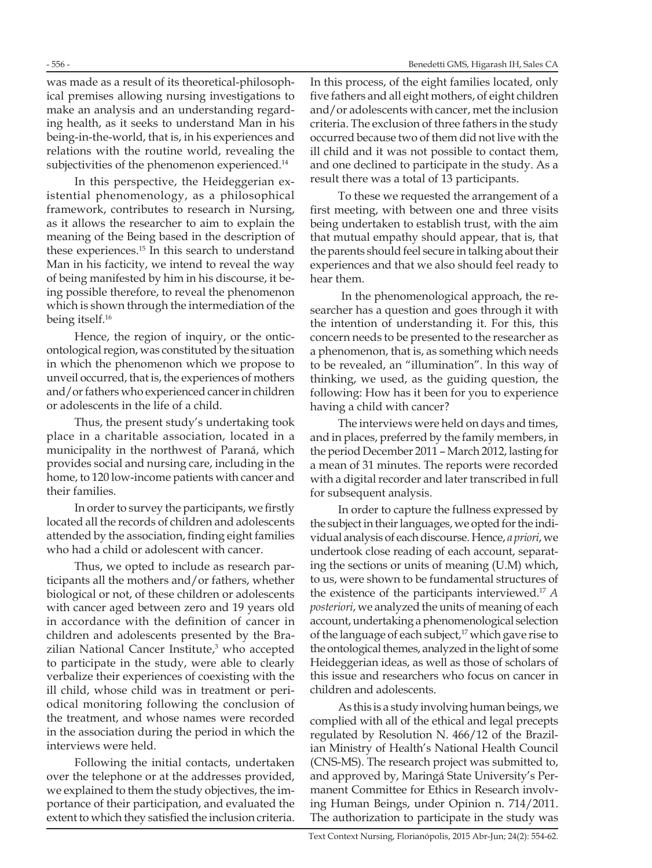was made as a result of its theoretical-philosophical premises allowing nursing investigations to make an analysis and an understanding regarding health, as it seeks to understand Man in his being-in-the-world, that is, in his experiences and relations with the routine world, revealing the subjectivities of the phenomenon experienced.<sup>14</sup>

In this perspective, the Heideggerian existential phenomenology, as a philosophical framework, contributes to research in Nursing, as it allows the researcher to aim to explain the meaning of the Being based in the description of these experiences.15 In this search to understand Man in his facticity, we intend to reveal the way of being manifested by him in his discourse, it being possible therefore, to reveal the phenomenon which is shown through the intermediation of the being itself.<sup>16</sup>

Hence, the region of inquiry, or the onticontological region, was constituted by the situation in which the phenomenon which we propose to unveil occurred, that is, the experiences of mothers and/or fathers who experienced cancer in children or adolescents in the life of a child.

Thus, the present study's undertaking took place in a charitable association, located in a municipality in the northwest of Paraná, which provides social and nursing care, including in the home, to 120 low-income patients with cancer and their families.

In order to survey the participants, we firstly located all the records of children and adolescents attended by the association, finding eight families who had a child or adolescent with cancer.

Thus, we opted to include as research participants all the mothers and/or fathers, whether biological or not, of these children or adolescents with cancer aged between zero and 19 years old in accordance with the definition of cancer in children and adolescents presented by the Brazilian National Cancer Institute,<sup>3</sup> who accepted to participate in the study, were able to clearly verbalize their experiences of coexisting with the ill child, whose child was in treatment or periodical monitoring following the conclusion of the treatment, and whose names were recorded in the association during the period in which the interviews were held.

Following the initial contacts, undertaken over the telephone or at the addresses provided, we explained to them the study objectives, the importance of their participation, and evaluated the extent to which they satisfied the inclusion criteria.

In this process, of the eight families located, only five fathers and all eight mothers, of eight children and/or adolescents with cancer, met the inclusion criteria. The exclusion of three fathers in the study occurred because two of them did not live with the ill child and it was not possible to contact them, and one declined to participate in the study. As a result there was a total of 13 participants.

To these we requested the arrangement of a first meeting, with between one and three visits being undertaken to establish trust, with the aim that mutual empathy should appear, that is, that the parents should feel secure in talking about their experiences and that we also should feel ready to hear them.

 In the phenomenological approach, the researcher has a question and goes through it with the intention of understanding it. For this, this concern needs to be presented to the researcher as a phenomenon, that is, as something which needs to be revealed, an "illumination". In this way of thinking, we used, as the guiding question, the following: How has it been for you to experience having a child with cancer?

The interviews were held on days and times, and in places, preferred by the family members, in the period December 2011 – March 2012, lasting for a mean of 31 minutes. The reports were recorded with a digital recorder and later transcribed in full for subsequent analysis.

In order to capture the fullness expressed by the subject in their languages, we opted for the individual analysis of each discourse. Hence, *a priori*, we undertook close reading of each account, separating the sections or units of meaning (U.M) which, to us, were shown to be fundamental structures of the existence of the participants interviewed.17 *A posteriori*, we analyzed the units of meaning of each account, undertaking a phenomenological selection of the language of each subject,<sup>17</sup> which gave rise to the ontological themes, analyzed in the light of some Heideggerian ideas, as well as those of scholars of this issue and researchers who focus on cancer in children and adolescents.

As this is a study involving human beings, we complied with all of the ethical and legal precepts regulated by Resolution N. 466/12 of the Brazilian Ministry of Health's National Health Council (CNS-MS). The research project was submitted to, and approved by, Maringá State University's Permanent Committee for Ethics in Research involving Human Beings, under Opinion n. 714/2011. The authorization to participate in the study was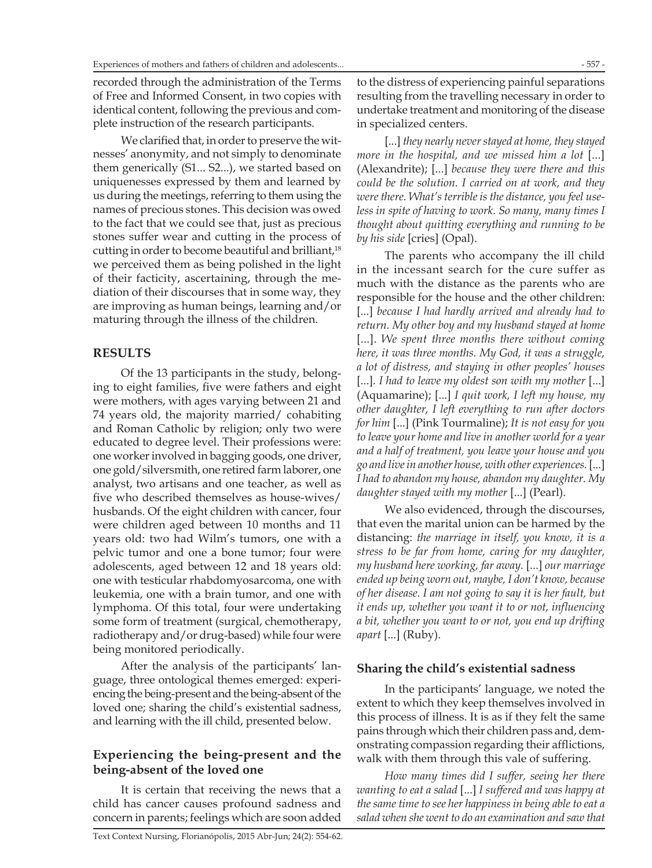recorded through the administration of the Terms of Free and Informed Consent, in two copies with identical content, following the previous and complete instruction of the research participants.

We clarified that, in order to preserve the witnesses' anonymity, and not simply to denominate them generically (S1... S2...), we started based on uniquenesses expressed by them and learned by us during the meetings, referring to them using the names of precious stones. This decision was owed to the fact that we could see that, just as precious stones suffer wear and cutting in the process of cutting in order to become beautiful and brilliant, $18$ we perceived them as being polished in the light of their facticity, ascertaining, through the mediation of their discourses that in some way, they are improving as human beings, learning and/or maturing through the illness of the children.

#### **RESULTS**

Of the 13 participants in the study, belonging to eight families, five were fathers and eight were mothers, with ages varying between 21 and 74 years old, the majority married/ cohabiting and Roman Catholic by religion; only two were educated to degree level. Their professions were: one worker involved in bagging goods, one driver, one gold/silversmith, one retired farm laborer, one analyst, two artisans and one teacher, as well as five who described themselves as house-wives/ husbands. Of the eight children with cancer, four were children aged between 10 months and 11 years old: two had Wilm's tumors, one with a pelvic tumor and one a bone tumor; four were adolescents, aged between 12 and 18 years old: one with testicular rhabdomyosarcoma, one with leukemia, one with a brain tumor, and one with lymphoma. Of this total, four were undertaking some form of treatment (surgical, chemotherapy, radiotherapy and/or drug-based) while four were being monitored periodically.

After the analysis of the participants' language, three ontological themes emerged: experiencing the being-present and the being-absent of the loved one; sharing the child's existential sadness, and learning with the ill child, presented below.

## **Experiencing the being-present and the being-absent of the loved one**

It is certain that receiving the news that a child has cancer causes profound sadness and concern in parents; feelings which are soon added

to the distress of experiencing painful separations resulting from the travelling necessary in order to undertake treatment and monitoring of the disease in specialized centers.

[...] *they nearly never stayed at home, they stayed more in the hospital, and we missed him a lot* [...] (Alexandrite); [...] *because they were there and this could be the solution. I carried on at work, and they were there. What's terrible is the distance, you feel useless in spite of having to work. So many, many times I thought about quitting everything and running to be by his side* [cries] (Opal).

The parents who accompany the ill child in the incessant search for the cure suffer as much with the distance as the parents who are responsible for the house and the other children: [...] *because I had hardly arrived and already had to return. My other boy and my husband stayed at home*  [...]. *We spent three months there without coming here, it was three months. My God, it was a struggle, a lot of distress, and staying in other peoples' houses*  [...]*. I had to leave my oldest son with my mother* [...] (Aquamarine); [...] *I quit work, I left my house, my other daughter, I left everything to run after doctors for him* [...] (Pink Tourmaline); *It is not easy for you to leave your home and live in another world for a year and a half of treatment, you leave your house and you go and live in another house, with other experiences.* [...] *I had to abandon my house, abandon my daughter. My daughter stayed with my mother* [...] (Pearl).

We also evidenced, through the discourses, that even the marital union can be harmed by the distancing: *the marriage in itself, you know, it is a stress to be far from home, caring for my daughter, my husband here working, far away.* [...] *our marriage ended up being worn out, maybe, I don't know, because of her disease. I am not going to say it is her fault, but it ends up, whether you want it to or not, influencing a bit, whether you want to or not, you end up drifting apart* [...] (Ruby).

#### **Sharing the child's existential sadness**

In the participants' language, we noted the extent to which they keep themselves involved in this process of illness. It is as if they felt the same pains through which their children pass and, demonstrating compassion regarding their afflictions, walk with them through this vale of suffering.

*How many times did I suffer, seeing her there wanting to eat a salad* [...] *I suffered and was happy at the same time to see her happiness in being able to eat a salad when she went to do an examination and saw that*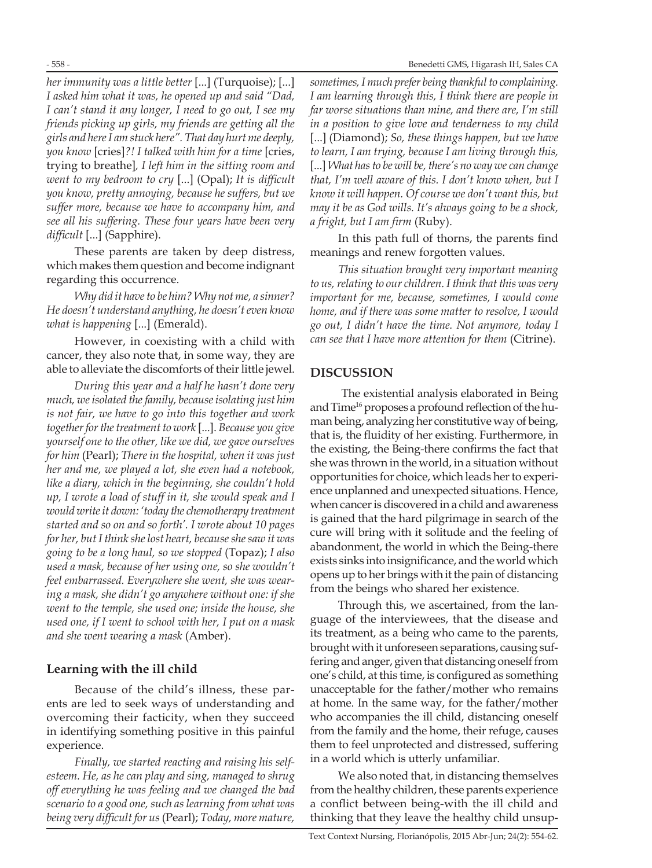*her immunity was a little better* [...] (Turquoise); [...] *I asked him what it was, he opened up and said "Dad, I can't stand it any longer, I need to go out, I see my friends picking up girls, my friends are getting all the girls and here I am stuck here". That day hurt me deeply, you know* [cries]*?! I talked with him for a time* [cries, trying to breathe]*, I left him in the sitting room and went to my bedroom to cry* [...] (Opal); *It is difficult you know, pretty annoying, because he suffers, but we suffer more, because we have to accompany him, and see all his suffering. These four years have been very difficult* [...] (Sapphire).

These parents are taken by deep distress, which makes them question and become indignant regarding this occurrence.

*Why did it have to be him? Why not me, a sinner? He doesn't understand anything, he doesn't even know what is happening* [...] (Emerald).

However, in coexisting with a child with cancer, they also note that, in some way, they are able to alleviate the discomforts of their little jewel.

*During this year and a half he hasn't done very much, we isolated the family, because isolating just him is not fair, we have to go into this together and work together for the treatment to work* [...]. *Because you give yourself one to the other, like we did, we gave ourselves for him* (Pearl); *There in the hospital, when it was just her and me, we played a lot, she even had a notebook, like a diary, which in the beginning, she couldn't hold up, I wrote a load of stuff in it, she would speak and I would write it down: 'today the chemotherapy treatment started and so on and so forth'. I wrote about 10 pages for her, but I think she lost heart, because she saw it was going to be a long haul, so we stopped* (Topaz); *I also used a mask, because of her using one, so she wouldn't feel embarrassed. Everywhere she went, she was wearing a mask, she didn't go anywhere without one: if she went to the temple, she used one; inside the house, she used one, if I went to school with her, I put on a mask and she went wearing a mask* (Amber).

## **Learning with the ill child**

Because of the child's illness, these parents are led to seek ways of understanding and overcoming their facticity, when they succeed in identifying something positive in this painful experience.

*Finally, we started reacting and raising his selfesteem. He, as he can play and sing, managed to shrug off everything he was feeling and we changed the bad scenario to a good one, such as learning from what was being very difficult for us* (Pearl); *Today, more mature,* 

*sometimes, I much prefer being thankful to complaining. I am learning through this, I think there are people in far worse situations than mine, and there are, I'm still in a position to give love and tenderness to my child*  [...] (Diamond); *So, these things happen, but we have to learn, I am trying, because I am living through this,* [...] *What has to be will be, there's no way we can change that, I'm well aware of this. I don't know when, but I know it will happen. Of course we don't want this, but may it be as God wills. It's always going to be a shock, a fright, but I am firm* (Ruby).

In this path full of thorns, the parents find meanings and renew forgotten values.

*This situation brought very important meaning to us, relating to our children. I think that this was very important for me, because, sometimes, I would come home, and if there was some matter to resolve, I would go out, I didn't have the time. Not anymore, today I can see that I have more attention for them* (Citrine).

## **DISCUSSION**

 The existential analysis elaborated in Being and Time<sup>16</sup> proposes a profound reflection of the human being, analyzing her constitutive way of being, that is, the fluidity of her existing. Furthermore, in the existing, the Being-there confirms the fact that she was thrown in the world, in a situation without opportunities for choice, which leads her to experience unplanned and unexpected situations. Hence, when cancer is discovered in a child and awareness is gained that the hard pilgrimage in search of the cure will bring with it solitude and the feeling of abandonment, the world in which the Being-there exists sinks into insignificance, and the world which opens up to her brings with it the pain of distancing from the beings who shared her existence.

Through this, we ascertained, from the language of the interviewees, that the disease and its treatment, as a being who came to the parents, brought with it unforeseen separations, causing suffering and anger, given that distancing oneself from one's child, at this time, is configured as something unacceptable for the father/mother who remains at home. In the same way, for the father/mother who accompanies the ill child, distancing oneself from the family and the home, their refuge, causes them to feel unprotected and distressed, suffering in a world which is utterly unfamiliar.

We also noted that, in distancing themselves from the healthy children, these parents experience a conflict between being-with the ill child and thinking that they leave the healthy child unsup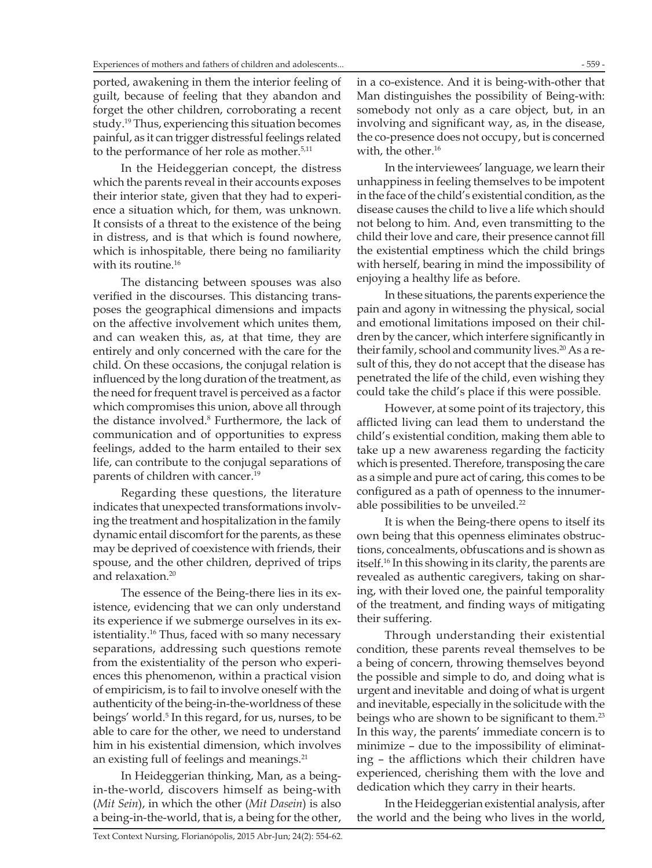ported, awakening in them the interior feeling of guilt, because of feeling that they abandon and forget the other children, corroborating a recent study.19 Thus, experiencing this situation becomes painful, as it can trigger distressful feelings related to the performance of her role as mother.<sup>5,11</sup>

In the Heideggerian concept, the distress which the parents reveal in their accounts exposes their interior state, given that they had to experience a situation which, for them, was unknown. It consists of a threat to the existence of the being in distress, and is that which is found nowhere, which is inhospitable, there being no familiarity with its routine.<sup>16</sup>

The distancing between spouses was also verified in the discourses. This distancing transposes the geographical dimensions and impacts on the affective involvement which unites them, and can weaken this, as, at that time, they are entirely and only concerned with the care for the child. On these occasions, the conjugal relation is influenced by the long duration of the treatment, as the need for frequent travel is perceived as a factor which compromises this union, above all through the distance involved.8 Furthermore, the lack of communication and of opportunities to express feelings, added to the harm entailed to their sex life, can contribute to the conjugal separations of parents of children with cancer.19

Regarding these questions, the literature indicates that unexpected transformations involving the treatment and hospitalization in the family dynamic entail discomfort for the parents, as these may be deprived of coexistence with friends, their spouse, and the other children, deprived of trips and relaxation.20

The essence of the Being-there lies in its existence, evidencing that we can only understand its experience if we submerge ourselves in its existentiality.<sup>16</sup> Thus, faced with so many necessary separations, addressing such questions remote from the existentiality of the person who experiences this phenomenon, within a practical vision of empiricism, is to fail to involve oneself with the authenticity of the being-in-the-worldness of these beings' world.<sup>5</sup> In this regard, for us, nurses, to be able to care for the other, we need to understand him in his existential dimension, which involves an existing full of feelings and meanings.<sup>21</sup>

In Heideggerian thinking, Man, as a beingin-the-world, discovers himself as being-with (*Mit Sein*), in which the other (*Mit Dasein*) is also a being-in-the-world, that is, a being for the other,

in a co-existence. And it is being-with-other that Man distinguishes the possibility of Being-with: somebody not only as a care object, but, in an involving and significant way, as, in the disease, the co-presence does not occupy, but is concerned with, the other.<sup>16</sup>

In the interviewees' language, we learn their unhappiness in feeling themselves to be impotent in the face of the child's existential condition, as the disease causes the child to live a life which should not belong to him. And, even transmitting to the child their love and care, their presence cannot fill the existential emptiness which the child brings with herself, bearing in mind the impossibility of enjoying a healthy life as before.

In these situations, the parents experience the pain and agony in witnessing the physical, social and emotional limitations imposed on their children by the cancer, which interfere significantly in their family, school and community lives.<sup>20</sup> As a result of this, they do not accept that the disease has penetrated the life of the child, even wishing they could take the child's place if this were possible.

However, at some point of its trajectory, this afflicted living can lead them to understand the child's existential condition, making them able to take up a new awareness regarding the facticity which is presented. Therefore, transposing the care as a simple and pure act of caring, this comes to be configured as a path of openness to the innumerable possibilities to be unveiled.<sup>22</sup>

It is when the Being-there opens to itself its own being that this openness eliminates obstructions, concealments, obfuscations and is shown as itself.16 In this showing in its clarity, the parents are revealed as authentic caregivers, taking on sharing, with their loved one, the painful temporality of the treatment, and finding ways of mitigating their suffering.

Through understanding their existential condition, these parents reveal themselves to be a being of concern, throwing themselves beyond the possible and simple to do, and doing what is urgent and inevitable and doing of what is urgent and inevitable, especially in the solicitude with the beings who are shown to be significant to them.<sup>23</sup> In this way, the parents' immediate concern is to minimize – due to the impossibility of eliminating – the afflictions which their children have experienced, cherishing them with the love and dedication which they carry in their hearts.

In the Heideggerian existential analysis, after the world and the being who lives in the world,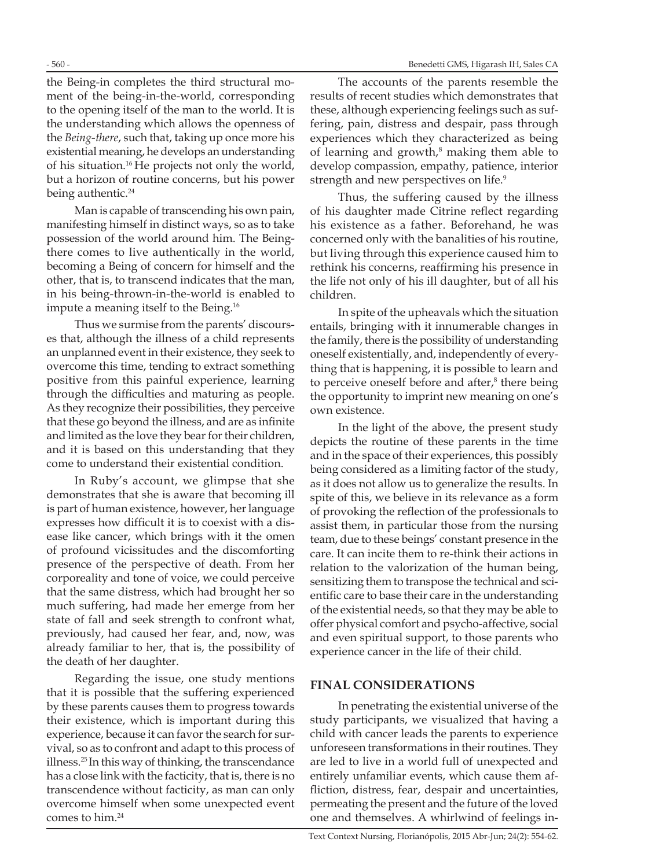the Being-in completes the third structural moment of the being-in-the-world, corresponding to the opening itself of the man to the world. It is the understanding which allows the openness of the *Being-there*, such that, taking up once more his existential meaning, he develops an understanding of his situation.16 He projects not only the world, but a horizon of routine concerns, but his power being authentic.<sup>24</sup>

Man is capable of transcending his own pain, manifesting himself in distinct ways, so as to take possession of the world around him. The Beingthere comes to live authentically in the world, becoming a Being of concern for himself and the other, that is, to transcend indicates that the man, in his being-thrown-in-the-world is enabled to impute a meaning itself to the Being.16

Thus we surmise from the parents' discourses that, although the illness of a child represents an unplanned event in their existence, they seek to overcome this time, tending to extract something positive from this painful experience, learning through the difficulties and maturing as people. As they recognize their possibilities, they perceive that these go beyond the illness, and are as infinite and limited as the love they bear for their children, and it is based on this understanding that they come to understand their existential condition.

In Ruby's account, we glimpse that she demonstrates that she is aware that becoming ill is part of human existence, however, her language expresses how difficult it is to coexist with a disease like cancer, which brings with it the omen of profound vicissitudes and the discomforting presence of the perspective of death. From her corporeality and tone of voice, we could perceive that the same distress, which had brought her so much suffering, had made her emerge from her state of fall and seek strength to confront what, previously, had caused her fear, and, now, was already familiar to her, that is, the possibility of the death of her daughter.

Regarding the issue, one study mentions that it is possible that the suffering experienced by these parents causes them to progress towards their existence, which is important during this experience, because it can favor the search for survival, so as to confront and adapt to this process of illness.25 In this way of thinking, the transcendance has a close link with the facticity, that is, there is no transcendence without facticity, as man can only overcome himself when some unexpected event comes to him.24

The accounts of the parents resemble the results of recent studies which demonstrates that these, although experiencing feelings such as suffering, pain, distress and despair, pass through experiences which they characterized as being of learning and growth,<sup>8</sup> making them able to develop compassion, empathy, patience, interior strength and new perspectives on life.<sup>9</sup>

Thus, the suffering caused by the illness of his daughter made Citrine reflect regarding his existence as a father. Beforehand, he was concerned only with the banalities of his routine, but living through this experience caused him to rethink his concerns, reaffirming his presence in the life not only of his ill daughter, but of all his children.

In spite of the upheavals which the situation entails, bringing with it innumerable changes in the family, there is the possibility of understanding oneself existentially, and, independently of everything that is happening, it is possible to learn and to perceive oneself before and after, $\delta$  there being the opportunity to imprint new meaning on one's own existence.

In the light of the above, the present study depicts the routine of these parents in the time and in the space of their experiences, this possibly being considered as a limiting factor of the study, as it does not allow us to generalize the results. In spite of this, we believe in its relevance as a form of provoking the reflection of the professionals to assist them, in particular those from the nursing team, due to these beings' constant presence in the care. It can incite them to re-think their actions in relation to the valorization of the human being, sensitizing them to transpose the technical and scientific care to base their care in the understanding of the existential needs, so that they may be able to offer physical comfort and psycho-affective, social and even spiritual support, to those parents who experience cancer in the life of their child.

#### **FINAL CONSIDERATIONS**

In penetrating the existential universe of the study participants, we visualized that having a child with cancer leads the parents to experience unforeseen transformations in their routines. They are led to live in a world full of unexpected and entirely unfamiliar events, which cause them affliction, distress, fear, despair and uncertainties, permeating the present and the future of the loved one and themselves. A whirlwind of feelings in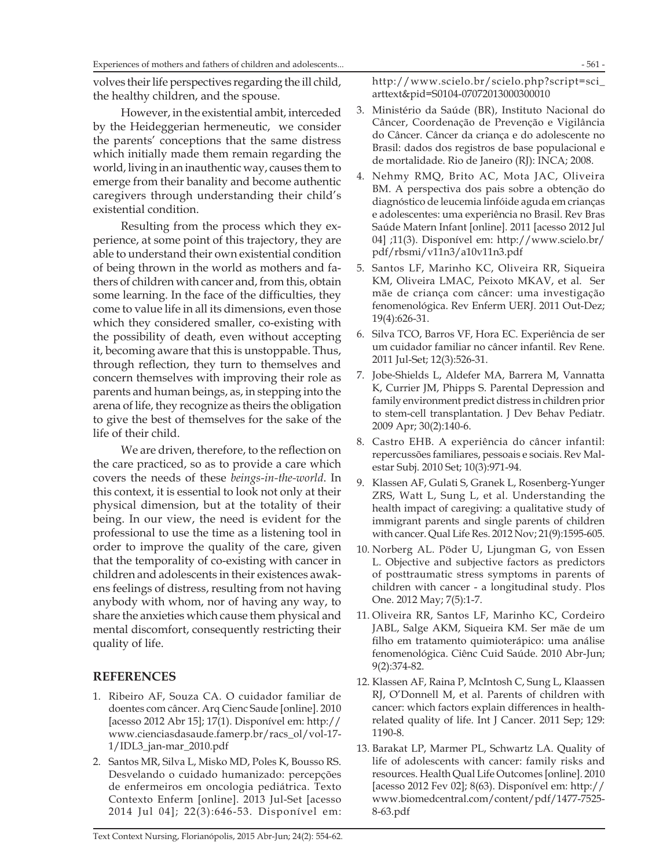volves their life perspectives regarding the ill child, the healthy children, and the spouse.

However, in the existential ambit, interceded by the Heideggerian hermeneutic, we consider the parents' conceptions that the same distress which initially made them remain regarding the world, living in an inauthentic way, causes them to emerge from their banality and become authentic caregivers through understanding their child's existential condition.

Resulting from the process which they experience, at some point of this trajectory, they are able to understand their own existential condition of being thrown in the world as mothers and fathers of children with cancer and, from this, obtain some learning. In the face of the difficulties, they come to value life in all its dimensions, even those which they considered smaller, co-existing with the possibility of death, even without accepting it, becoming aware that this is unstoppable. Thus, through reflection, they turn to themselves and concern themselves with improving their role as parents and human beings, as, in stepping into the arena of life, they recognize as theirs the obligation to give the best of themselves for the sake of the life of their child.

We are driven, therefore, to the reflection on the care practiced, so as to provide a care which covers the needs of these *beings-in-the-world*. In this context, it is essential to look not only at their physical dimension, but at the totality of their being. In our view, the need is evident for the professional to use the time as a listening tool in order to improve the quality of the care, given that the temporality of co-existing with cancer in children and adolescents in their existences awakens feelings of distress, resulting from not having anybody with whom, nor of having any way, to share the anxieties which cause them physical and mental discomfort, consequently restricting their quality of life.

## **REFERENCES**

- 1. Ribeiro AF, Souza CA. O cuidador familiar de doentes com câncer. Arq Cienc Saude [online]. 2010 [acesso 2012 Abr 15]; 17(1). Disponível em: http:// www.cienciasdasaude.famerp.br/racs\_ol/vol-17- 1/IDL3\_jan-mar\_2010.pdf
- 2. Santos MR, Silva L, Misko MD, Poles K, Bousso RS. Desvelando o cuidado humanizado: percepções de enfermeiros em oncologia pediátrica. Texto Contexto Enferm [online]. 2013 Jul-Set [acesso 2014 Jul 04]; 22(3):646-53. Disponível em:

http://www.scielo.br/scielo.php?script=sci\_ arttext&pid=S0104-07072013000300010

- 3. Ministério da Saúde (BR), Instituto Nacional do Câncer, Coordenação de Prevenção e Vigilância do Câncer. Câncer da criança e do adolescente no Brasil: dados dos registros de base populacional e de mortalidade. Rio de Janeiro (RJ): INCA; 2008.
- 4. Nehmy RMQ, Brito AC, Mota JAC, Oliveira BM. A perspectiva dos pais sobre a obtenção do diagnóstico de leucemia linfóide aguda em crianças e adolescentes: uma experiência no Brasil. Rev Bras Saúde Matern Infant [online]. 2011 [acesso 2012 Jul 04] ;11(3). Disponível em: http://www.scielo.br/ pdf/rbsmi/v11n3/a10v11n3.pdf
- 5. Santos LF, Marinho KC, Oliveira RR, Siqueira KM, Oliveira LMAC, Peixoto MKAV, et al. Ser mãe de criança com câncer: uma investigação fenomenológica. Rev Enferm UERJ. 2011 Out-Dez; 19(4):626-31.
- 6. Silva TCO, Barros VF, Hora EC. Experiência de ser um cuidador familiar no câncer infantil. Rev Rene. 2011 Jul-Set; 12(3):526-31.
- 7. Jobe-Shields L, Aldefer MA, Barrera M, Vannatta K, Currier JM, Phipps S. Parental Depression and family environment predict distress in children prior to stem-cell transplantation. J Dev Behav Pediatr. 2009 Apr; 30(2):140-6.
- 8. Castro EHB. A experiência do câncer infantil: repercussões familiares, pessoais e sociais. Rev Malestar Subj. 2010 Set; 10(3):971-94.
- 9. Klassen AF, Gulati S, Granek L, Rosenberg-Yunger ZRS, Watt L, Sung L, et al. Understanding the health impact of caregiving: a qualitative study of immigrant parents and single parents of children with cancer. Qual Life Res. 2012 Nov; 21(9):1595-605.
- 10. Norberg AL. Pöder U, Ljungman G, von Essen L. Objective and subjective factors as predictors of posttraumatic stress symptoms in parents of children with cancer - a longitudinal study. Plos One. 2012 May; 7(5):1-7.
- 11. Oliveira RR, Santos LF, Marinho KC, Cordeiro JABL, Salge AKM, Siqueira KM. Ser mãe de um filho em tratamento quimioterápico: uma análise fenomenológica. Ciênc Cuid Saúde. 2010 Abr-Jun; 9(2):374-82.
- 12. Klassen AF, Raina P, McIntosh C, Sung L, Klaassen RJ, O'Donnell M, et al. Parents of children with cancer: which factors explain differences in healthrelated quality of life. Int J Cancer. 2011 Sep; 129: 1190-8.
- 13. Barakat LP, Marmer PL, Schwartz LA. Quality of life of adolescents with cancer: family risks and resources. Health Qual Life Outcomes [online]. 2010 [acesso 2012 Fev 02]; 8(63). Disponível em: http:// www.biomedcentral.com/content/pdf/1477-7525- 8-63.pdf